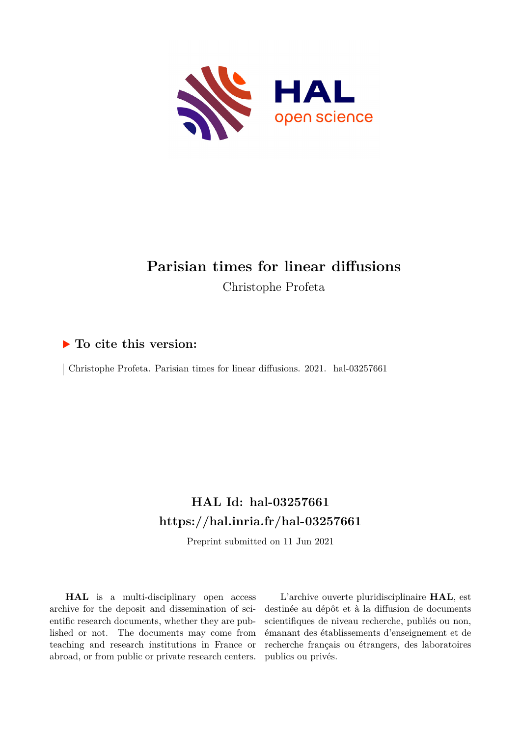

# **Parisian times for linear diffusions** Christophe Profeta

## **To cite this version:**

 $\vert$  Christophe Profeta. Parisian times for linear diffusions. 2021. hal-03257661

## **HAL Id: hal-03257661 <https://hal.inria.fr/hal-03257661>**

Preprint submitted on 11 Jun 2021

**HAL** is a multi-disciplinary open access archive for the deposit and dissemination of scientific research documents, whether they are published or not. The documents may come from teaching and research institutions in France or abroad, or from public or private research centers.

L'archive ouverte pluridisciplinaire **HAL**, est destinée au dépôt et à la diffusion de documents scientifiques de niveau recherche, publiés ou non, émanant des établissements d'enseignement et de recherche français ou étrangers, des laboratoires publics ou privés.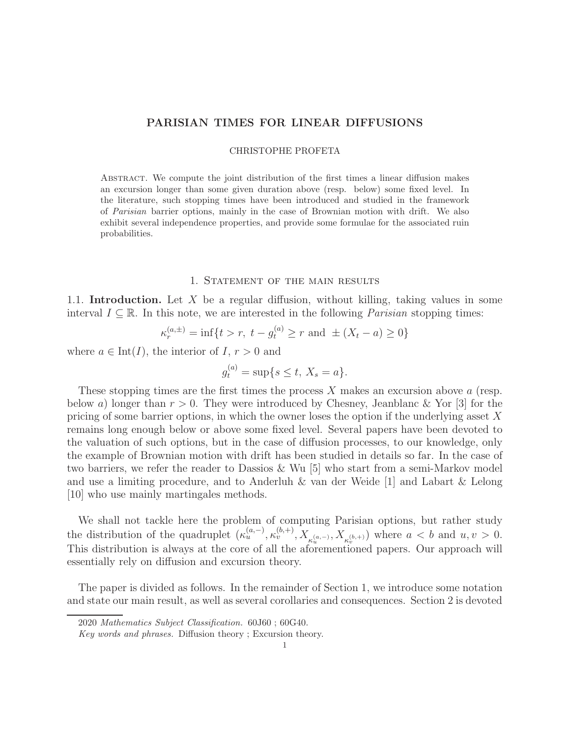## PARISIAN TIMES FOR LINEAR DIFFUSIONS

#### CHRISTOPHE PROFETA

Abstract. We compute the joint distribution of the first times a linear diffusion makes an excursion longer than some given duration above (resp. below) some fixed level. In the literature, such stopping times have been introduced and studied in the framework of Parisian barrier options, mainly in the case of Brownian motion with drift. We also exhibit several independence properties, and provide some formulae for the associated ruin probabilities.

### 1. STATEMENT OF THE MAIN RESULTS

1.1. Introduction. Let X be a regular diffusion, without killing, taking values in some interval  $I \subseteq \mathbb{R}$ . In this note, we are interested in the following *Parisian* stopping times:

$$
\kappa_r^{(a,\pm)} = \inf\{t > r, \ t - g_t^{(a)} \ge r \text{ and } \pm (X_t - a) \ge 0\}
$$

where  $a \in \text{Int}(I)$ , the interior of  $I, r > 0$  and

$$
g_t^{(a)} = \sup\{s \le t, \ X_s = a\}.
$$

These stopping times are the first times the process  $X$  makes an excursion above  $a$  (resp. below a) longer than  $r > 0$ . They were introduced by Chesney, Jeanblanc & Yor [3] for the pricing of some barrier options, in which the owner loses the option if the underlying asset  $X$ remains long enough below or above some fixed level. Several papers have been devoted to the valuation of such options, but in the case of diffusion processes, to our knowledge, only the example of Brownian motion with drift has been studied in details so far. In the case of two barriers, we refer the reader to Dassios & Wu [5] who start from a semi-Markov model and use a limiting procedure, and to Anderluh & van der Weide [1] and Labart & Lelong [10] who use mainly martingales methods.

We shall not tackle here the problem of computing Parisian options, but rather study the distribution of the quadruplet  $(\kappa_u^{(a,-)}, \kappa_v^{(b,+)}, X_{\kappa_u^{(a,-)}}, X_{\kappa_v^{(b,+)}})$  where  $a < b$  and  $u, v > 0$ . This distribution is always at the core of all the aforementioned papers. Our approach will essentially rely on diffusion and excursion theory.

The paper is divided as follows. In the remainder of Section 1, we introduce some notation and state our main result, as well as several corollaries and consequences. Section 2 is devoted

<sup>2020</sup> Mathematics Subject Classification. 60J60 ; 60G40.

Key words and phrases. Diffusion theory ; Excursion theory.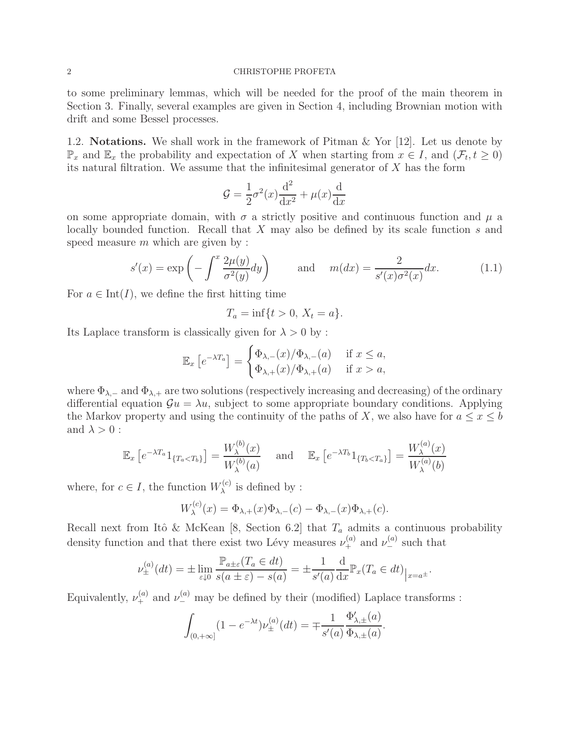to some preliminary lemmas, which will be needed for the proof of the main theorem in Section 3. Finally, several examples are given in Section 4, including Brownian motion with drift and some Bessel processes.

1.2. Notations. We shall work in the framework of Pitman & Yor [12]. Let us denote by  $\mathbb{P}_x$  and  $\mathbb{E}_x$  the probability and expectation of X when starting from  $x \in I$ , and  $(\mathcal{F}_t, t \geq 0)$ its natural filtration. We assume that the infinitesimal generator of  $X$  has the form

$$
\mathcal{G} = \frac{1}{2}\sigma^2(x)\frac{d^2}{dx^2} + \mu(x)\frac{d}{dx}
$$

on some appropriate domain, with  $\sigma$  a strictly positive and continuous function and  $\mu$  a locally bounded function. Recall that  $X$  may also be defined by its scale function  $s$  and speed measure  $m$  which are given by :

$$
s'(x) = \exp\left(-\int^x \frac{2\mu(y)}{\sigma^2(y)} dy\right) \quad \text{and} \quad m(dx) = \frac{2}{s'(x)\sigma^2(x)} dx. \quad (1.1)
$$

For  $a \in \text{Int}(I)$ , we define the first hitting time

$$
T_a = \inf\{t > 0, \, X_t = a\}.
$$

Its Laplace transform is classically given for  $\lambda > 0$  by :

$$
\mathbb{E}_x \left[ e^{-\lambda T_a} \right] = \begin{cases} \Phi_{\lambda,-}(x) / \Phi_{\lambda,-}(a) & \text{if } x \le a, \\ \Phi_{\lambda,+}(x) / \Phi_{\lambda,+}(a) & \text{if } x > a, \end{cases}
$$

where  $\Phi_{\lambda,-}$  and  $\Phi_{\lambda,+}$  are two solutions (respectively increasing and decreasing) of the ordinary differential equation  $\mathcal{G}u = \lambda u$ , subject to some appropriate boundary conditions. Applying the Markov property and using the continuity of the paths of X, we also have for  $a \leq x \leq b$ and  $\lambda > 0$  :

$$
\mathbb{E}_x \left[ e^{-\lambda T_a} 1_{\{T_a < T_b\}} \right] = \frac{W_\lambda^{(b)}(x)}{W_\lambda^{(b)}(a)} \quad \text{and} \quad \mathbb{E}_x \left[ e^{-\lambda T_b} 1_{\{T_b < T_a\}} \right] = \frac{W_\lambda^{(a)}(x)}{W_\lambda^{(a)}(b)}
$$

where, for  $c \in I$ , the function  $W_{\lambda}^{(c)}$  $\lambda^{(c)}$  is defined by :

$$
W_{\lambda}^{(c)}(x) = \Phi_{\lambda,+}(x)\Phi_{\lambda,-}(c) - \Phi_{\lambda,-}(x)\Phi_{\lambda,+}(c).
$$

Recall next from Itô & McKean [8, Section 6.2] that  $T_a$  admits a continuous probability density function and that there exist two Lévy measures  $\nu_+^{(a)}$  and  $\nu_-^{(a)}$  such that

$$
\nu_{\pm}^{(a)}(dt) = \pm \lim_{\varepsilon \downarrow 0} \frac{\mathbb{P}_{a \pm \varepsilon}(T_a \in dt)}{s(a \pm \varepsilon) - s(a)} = \pm \frac{1}{s'(a)} \frac{\mathrm{d}}{\mathrm{d}x} \mathbb{P}_x(T_a \in dt)_{|x = a^{\pm}}.
$$

Equivalently,  $\nu_+^{(a)}$  and  $\nu_-^{(a)}$  may be defined by their (modified) Laplace transforms :

$$
\int_{(0,+\infty]} (1 - e^{-\lambda t}) \nu_{\pm}^{(a)}(dt) = \mp \frac{1}{s'(a)} \frac{\Phi'_{\lambda,\pm}(a)}{\Phi_{\lambda,\pm}(a)}.
$$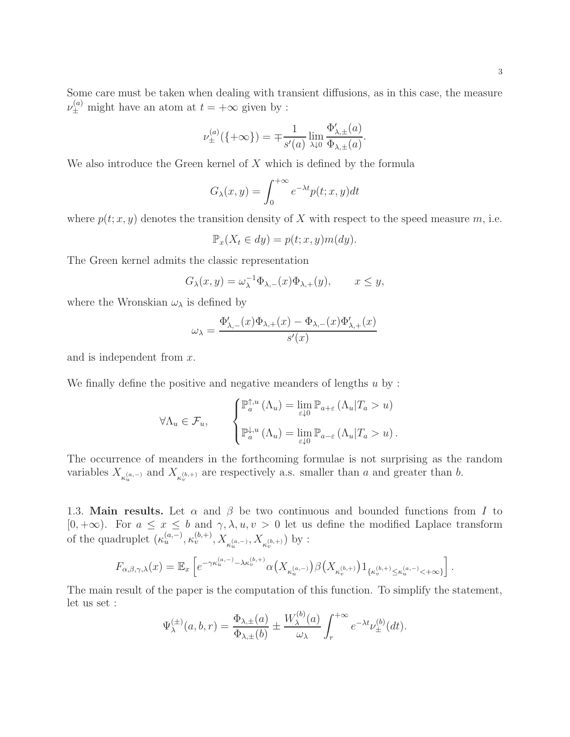Some care must be taken when dealing with transient diffusions, as in this case, the measure  $\nu_{\pm}^{(a)}$  might have an atom at  $t = +\infty$  given by :

$$
\nu^{(a)}_{\pm}(\{\pm \infty\}) = \mp \frac{1}{s'(a)} \lim_{\lambda \downarrow 0} \frac{\Phi'_{\lambda,\pm}(a)}{\Phi_{\lambda,\pm}(a)}.
$$

We also introduce the Green kernel of  $X$  which is defined by the formula

$$
G_{\lambda}(x,y) = \int_0^{+\infty} e^{-\lambda t} p(t;x,y) dt
$$

where  $p(t; x, y)$  denotes the transition density of X with respect to the speed measure m, i.e.

$$
\mathbb{P}_x(X_t \in dy) = p(t; x, y)m(dy).
$$

The Green kernel admits the classic representation

$$
G_{\lambda}(x,y) = \omega_{\lambda}^{-1} \Phi_{\lambda,-}(x) \Phi_{\lambda,+}(y), \qquad x \le y,
$$

where the Wronskian  $\omega_{\lambda}$  is defined by

$$
\omega_\lambda = \frac{\Phi_{\lambda,-}'(x)\Phi_{\lambda,+}(x) - \Phi_{\lambda,-}(x)\Phi_{\lambda,+}'(x)}{s'(x)}
$$

and is independent from x.

We finally define the positive and negative meanders of lengths  $u$  by :

$$
\forall \Lambda_u \in \mathcal{F}_u, \qquad \begin{cases} \mathbb{P}_a^{\uparrow, u} \left( \Lambda_u \right) = \lim_{\varepsilon \downarrow 0} \mathbb{P}_{a+\varepsilon} \left( \Lambda_u | T_a > u \right) \\ \mathbb{P}_a^{\downarrow, u} \left( \Lambda_u \right) = \lim_{\varepsilon \downarrow 0} \mathbb{P}_{a-\varepsilon} \left( \Lambda_u | T_a > u \right). \end{cases}
$$

The occurrence of meanders in the forthcoming formulae is not surprising as the random variables  $X_{\kappa_u^{(a,-)}}$  and  $X_{\kappa_v^{(b,+)}}$  are respectively a.s. smaller than a and greater than b.

1.3. Main results. Let  $\alpha$  and  $\beta$  be two continuous and bounded functions from I to [0, +∞). For  $a \le x \le b$  and  $\gamma, \lambda, u, v > 0$  let us define the modified Laplace transform of the quadruplet  $(\kappa_u^{(a,-)}, \kappa_v^{(b,+)}, X_{\kappa_u^{(a,-)}}, X_{\kappa_v^{(b,+)}})$  by :

$$
F_{\alpha,\beta,\gamma,\lambda}(x)=\mathbb{E}_x\left[e^{-\gamma \kappa_u^{(a,-)}-\lambda \kappa_v^{(b,+)}}\alpha\big(X_{\kappa_u^{(a,-)}}\big)\beta\big(X_{\kappa_v^{(b,+)}}\big)1_{\{\kappa_v^{(b,+)}\leq \kappa_u^{(a,-)}<+\infty\}}\right].
$$

The main result of the paper is the computation of this function. To simplify the statement, let us set :  $\lambda$ 

$$
\Psi_{\lambda}^{(\pm)}(a,b,r) = \frac{\Phi_{\lambda,\pm}(a)}{\Phi_{\lambda,\pm}(b)} \pm \frac{W_{\lambda}^{(b)}(a)}{\omega_{\lambda}} \int_{r}^{+\infty} e^{-\lambda t} \nu_{\pm}^{(b)}(dt).
$$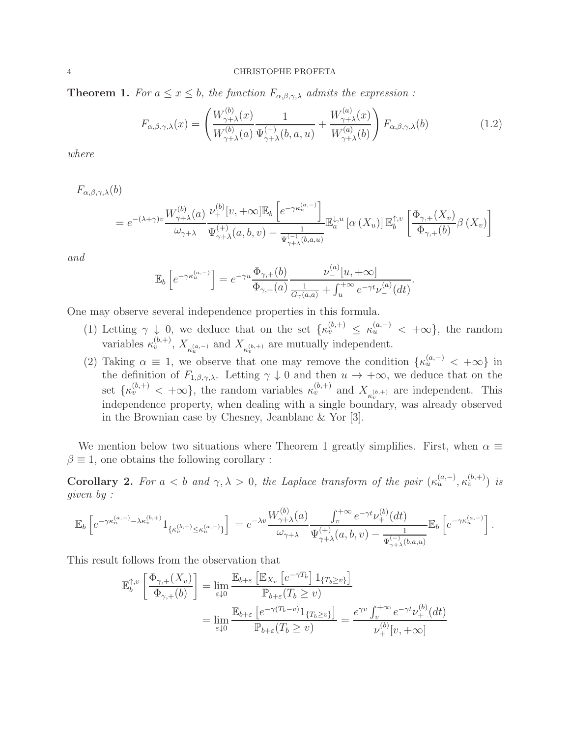**Theorem 1.** *For*  $a \leq x \leq b$ *, the function*  $F_{\alpha,\beta,\gamma,\lambda}$  *admits the expression*:

$$
F_{\alpha,\beta,\gamma,\lambda}(x) = \left(\frac{W_{\gamma+\lambda}^{(b)}(x)}{W_{\gamma+\lambda}^{(b)}(a)}\frac{1}{\Psi_{\gamma+\lambda}^{(-)}(b,a,u)} + \frac{W_{\gamma+\lambda}^{(a)}(x)}{W_{\gamma+\lambda}^{(a)}(b)}\right)F_{\alpha,\beta,\gamma,\lambda}(b)
$$
(1.2)

*where*

 $F_{\alpha,\beta,\gamma,\lambda}(b)$ 

$$
=e^{-(\lambda+\gamma)v}\frac{W_{\gamma+\lambda}^{(b)}(a)}{\omega_{\gamma+\lambda}}\frac{\nu^{(b)}_+[v,+\infty]\mathbb{E}_b\left[e^{-\gamma\kappa_u^{(a,-)}}\right]}{\Psi_{\gamma+\lambda}^{(+)}(a,b,v)-\frac{1}{\Psi_{\gamma+\lambda}^{(-)}(b,a,u)}}\mathbb{E}_a^{\downarrow,u}\left[\alpha\left(X_u\right)\right]\mathbb{E}_b^{\uparrow,v}\left[\frac{\Phi_{\gamma,+}(X_v)}{\Phi_{\gamma,+}(b)}\beta\left(X_v\right)\right]
$$

*and*

$$
\mathbb{E}_b\left[e^{-\gamma \kappa_u^{(a,-)}}\right] = e^{-\gamma u} \frac{\Phi_{\gamma,+}(b)}{\Phi_{\gamma,+}(a)} \frac{\nu^{(a)}_-[u,+\infty]}{\frac{1}{G_\gamma(a,a)} + \int_u^{+\infty} e^{-\gamma t} \nu^{(a)}_- (dt)}.
$$

One may observe several independence properties in this formula.

- (1) Letting  $\gamma \downarrow 0$ , we deduce that on the set  $\{\kappa_v^{(b,+)} \leq \kappa_u^{(a,-)} < +\infty\}$ , the random variables  $\kappa_v^{(b,+)}$ ,  $X_{\kappa_u^{(a,-)}}$  and  $X_{\kappa_v^{(b,+)}}$  are mutually independent.
- (2) Taking  $\alpha \equiv 1$ , we observe that one may remove the condition  $\{\kappa_u^{(a,-)} \leq +\infty\}$  in the definition of  $F_{1,\beta,\gamma,\lambda}$ . Letting  $\gamma \downarrow 0$  and then  $u \to +\infty$ , we deduce that on the set  $\{\kappa_v^{(b,+)} < +\infty\}$ , the random variables  $\kappa_v^{(b,+)}$  and  $X_{\kappa_v^{(b,+)}}$  are independent. This independence property, when dealing with a single boundary, was already observed in the Brownian case by Chesney, Jeanblanc & Yor [3].

We mention below two situations where Theorem 1 greatly simplifies. First, when  $\alpha \equiv$  $\beta \equiv 1$ , one obtains the following corollary :

Corollary 2. For  $a < b$  and  $\gamma, \lambda > 0$ , the Laplace transform of the pair  $(\kappa_u^{(a,-)}, \kappa_v^{(b,+)})$  is *given by :*

$$
\mathbb{E}_b\left[e^{-\gamma \kappa_u^{(a,-)} - \lambda \kappa_v^{(b,+)} } 1_{\{\kappa_v^{(b,+)} \leq \kappa_u^{(a,-)}\}}\right] = e^{-\lambda v} \frac{W_{\gamma+\lambda}^{(b)}(a)}{\omega_{\gamma+\lambda}} \frac{\int_v^{+\infty} e^{-\gamma t} \nu_+^{(b)}(dt)}{\Psi_{\gamma+\lambda}^{(+)}(a,b,v) - \frac{1}{\Psi_{\gamma+\lambda}^{(-)}(b,a,u)}} \mathbb{E}_b\left[e^{-\gamma \kappa_u^{(a,-)} }\right].
$$

This result follows from the observation that

$$
\mathbb{E}_{b}^{\uparrow,v} \left[ \frac{\Phi_{\gamma,+}(X_v)}{\Phi_{\gamma,+}(b)} \right] = \lim_{\varepsilon \downarrow 0} \frac{\mathbb{E}_{b+\varepsilon} \left[ \mathbb{E}_{X_v} \left[ e^{-\gamma T_b} \right] \mathbb{1}_{\{T_b \ge v\}} \right]}{\mathbb{P}_{b+\varepsilon}(T_b \ge v)} \n= \lim_{\varepsilon \downarrow 0} \frac{\mathbb{E}_{b+\varepsilon} \left[ e^{-\gamma (T_b - v)} \mathbb{1}_{\{T_b \ge v\}} \right]}{\mathbb{P}_{b+\varepsilon}(T_b \ge v)} = \frac{e^{\gamma v} \int_v^{+\infty} e^{-\gamma t} \nu_+^{(b)}(dt)}{\nu_+^{(b)}[v, +\infty]}
$$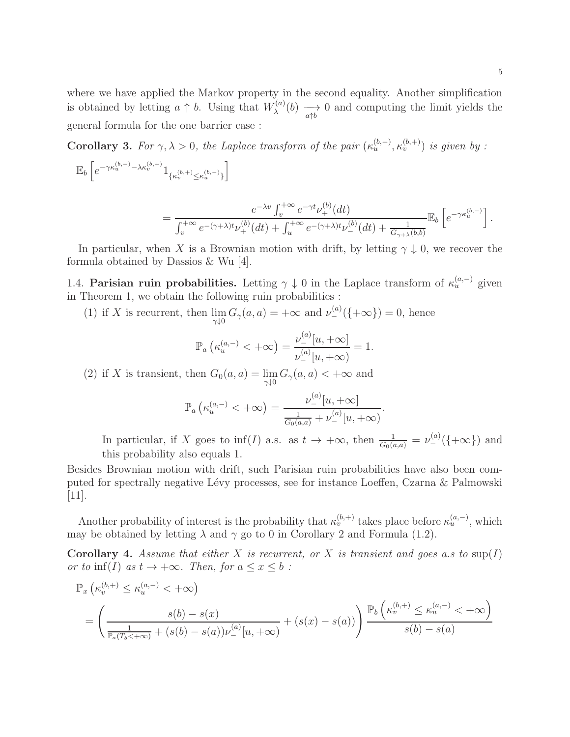where we have applied the Markov property in the second equality. Another simplification is obtained by letting  $a \uparrow b$ . Using that  $W_{\lambda}^{(a)}$  $\lambda^{(a)}(b) \longrightarrow_{a\uparrow b} 0$  and computing the limit yields the general formula for the one barrier case :

**Corollary 3.** For  $\gamma, \lambda > 0$ , the Laplace transform of the pair  $(\kappa_u^{(b,-)}, \kappa_v^{(b,+)})$  is given by :

$$
\mathbb{E}_b\left[e^{-\gamma \kappa_u^{(b,-)}-\lambda \kappa_v^{(b,+)}}1_{\{\kappa_v^{(b,+)}\leq \kappa_u^{(b,-)}\}}\right]
$$

$$
= \frac{e^{-\lambda v}\int_v^{+\infty}e^{-\gamma t}\nu_+^{(b)}(dt)}{\int_v^{+\infty}e^{-(\gamma+\lambda)t}\nu_+^{(b)}(dt)+\int_u^{+\infty}e^{-(\gamma+\lambda)t}\nu_-^{(b)}(dt)+\frac{1}{G_{\gamma+\lambda}(b,b)}}\mathbb{E}_b\left[e^{-\gamma\kappa_u^{(b,-)}}\right].
$$

In particular, when X is a Brownian motion with drift, by letting  $\gamma \downarrow 0$ , we recover the formula obtained by Dassios & Wu [4].

1.4. **Parisian ruin probabilities.** Letting  $\gamma \downarrow 0$  in the Laplace transform of  $\kappa_u^{(a,-)}$  given in Theorem 1, we obtain the following ruin probabilities :

(1) if X is recurrent, then  $\lim_{\gamma \downarrow 0} G_{\gamma}(a, a) = +\infty$  and  $\nu_{-}^{(a)}(\{\pm \infty\}) = 0$ , hence

$$
\mathbb{P}_a\left(\kappa_u^{(a,-)} < +\infty\right) = \frac{\nu_-^{(a)}[u,+\infty]}{\nu_-^{(a)}[u,+\infty)} = 1.
$$

(2) if X is transient, then  $G_0(a, a) = \lim_{\gamma \downarrow 0} G_\gamma(a, a) < +\infty$  and

$$
\mathbb{P}_a\left(\kappa_u^{(a,-)} < +\infty\right) = \frac{\nu_-^{(a)}[u,+\infty]}{\frac{1}{G_0(a,a)} + \nu_-^{(a)}[u,+\infty)}.
$$

In particular, if X goes to  $\inf(I)$  a.s. as  $t \to +\infty$ , then  $\frac{1}{G_0(a,a)} = \nu^{(a)}_-(\{\pm \infty\})$  and this probability also equals 1.

Besides Brownian motion with drift, such Parisian ruin probabilities have also been computed for spectrally negative L´evy processes, see for instance Loeffen, Czarna & Palmowski [11].

Another probability of interest is the probability that  $\kappa_v^{(b,+)}$  takes place before  $\kappa_u^{(a,-)}$ , which may be obtained by letting  $\lambda$  and  $\gamma$  go to 0 in Corollary 2 and Formula (1.2).

Corollary 4. *Assume that either* X *is recurrent, or* X *is transient and goes a.s to* sup(I) *or to*  $\inf(I)$  *as*  $t \to +\infty$ *. Then, for*  $a \leq x \leq b$ :

$$
\mathbb{P}_x \left( \kappa_v^{(b,+)} \le \kappa_u^{(a,-)} < +\infty \right)
$$
\n
$$
= \left( \frac{s(b) - s(x)}{\frac{1}{\mathbb{P}_a(T_b < +\infty)} + (s(b) - s(a))\nu_-^{(a)}[u, +\infty)} + (s(x) - s(a)) \right) \frac{\mathbb{P}_b \left( \kappa_v^{(b,+)} \le \kappa_u^{(a,-)} < +\infty \right)}{s(b) - s(a)}
$$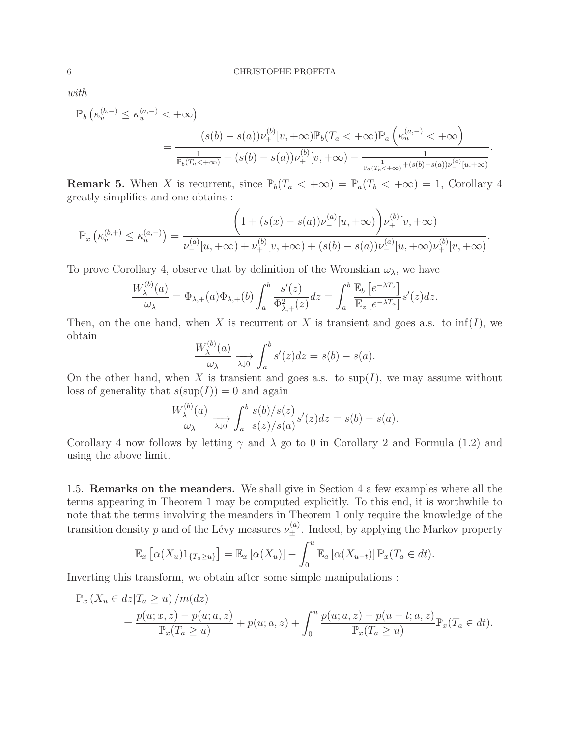*with*

$$
\mathbb{P}_b\left(\kappa_v^{(b,+)} \le \kappa_u^{(a,-)} < +\infty\right)
$$
\n
$$
= \frac{(s(b)-s(a))\nu_+^{(b)}[v,+\infty)\mathbb{P}_b(T_a < +\infty)\mathbb{P}_a\left(\kappa_u^{(a,-)} < +\infty\right)}{\frac{1}{\mathbb{P}_b(T_a < +\infty)} + (s(b)-s(a))\nu_+^{(b)}[v,+\infty) - \frac{1}{\frac{1}{\mathbb{P}_a(T_b < +\infty)} + (s(b)-s(a))\nu_-^{(a)}[u,+\infty)}}
$$

.

**Remark 5.** When X is recurrent, since  $\mathbb{P}_b(T_a < +\infty) = \mathbb{P}_a(T_b < +\infty) = 1$ , Corollary 4 greatly simplifies and one obtains :

$$
\mathbb{P}_x\left(\kappa_v^{(b,+)} \le \kappa_u^{(a,-)}\right) = \frac{\left(1 + (s(x) - s(a))\nu_-^{(a)}[u,+\infty)\right)\nu_+^{(b)}[v,+\infty)}{\nu_-^{(a)}[u,+\infty) + \nu_+^{(b)}[v,+\infty) + (s(b) - s(a))\nu_-^{(a)}[u,+\infty)\nu_+^{(b)}[v,+\infty)}.
$$

To prove Corollary 4, observe that by definition of the Wronskian  $\omega_{\lambda}$ , we have

$$
\frac{W_{\lambda}^{(b)}(a)}{\omega_{\lambda}} = \Phi_{\lambda,+}(a)\Phi_{\lambda,+}(b)\int_{a}^{b}\frac{s'(z)}{\Phi_{\lambda,+}^{2}(z)}dz = \int_{a}^{b}\frac{\mathbb{E}_{b}\left[e^{-\lambda T_{z}}\right]}{\mathbb{E}_{z}\left[e^{-\lambda T_{a}}\right]}s'(z)dz.
$$

Then, on the one hand, when X is recurrent or X is transient and goes a.s. to  $\inf(I)$ , we obtain

$$
\frac{W_{\lambda}^{(b)}(a)}{\omega_{\lambda}} \xrightarrow[\lambda \downarrow 0]{} \int_{a}^{b} s'(z) dz = s(b) - s(a).
$$

On the other hand, when X is transient and goes a.s. to  $\sup(I)$ , we may assume without loss of generality that  $s(\sup(I)) = 0$  and again

$$
\frac{W_{\lambda}^{(b)}(a)}{\omega_{\lambda}} \xrightarrow[\lambda \downarrow 0]{} \int_{a}^{b} \frac{s(b)/s(z)}{s(z)/s(a)} s'(z) dz = s(b) - s(a).
$$

Corollary 4 now follows by letting  $\gamma$  and  $\lambda$  go to 0 in Corollary 2 and Formula (1.2) and using the above limit.

1.5. Remarks on the meanders. We shall give in Section 4 a few examples where all the terms appearing in Theorem 1 may be computed explicitly. To this end, it is worthwhile to note that the terms involving the meanders in Theorem 1 only require the knowledge of the transition density p and of the Lévy measures  $\nu_{\pm}^{(a)}$ . Indeed, by applying the Markov property

$$
\mathbb{E}_x\left[\alpha(X_u)1_{\{T_a\geq u\}}\right] = \mathbb{E}_x\left[\alpha(X_u)\right] - \int_0^u \mathbb{E}_a\left[\alpha(X_{u-t})\right] \mathbb{P}_x(T_a \in dt).
$$

Inverting this transform, we obtain after some simple manipulations :

$$
\mathbb{P}_x \left( X_u \in dz | T_a \ge u \right) / m(dz) \n= \frac{p(u; x, z) - p(u; a, z)}{\mathbb{P}_x (T_a \ge u)} + p(u; a, z) + \int_0^u \frac{p(u; a, z) - p(u - t; a, z)}{\mathbb{P}_x (T_a \ge u)} \mathbb{P}_x (T_a \in dt).
$$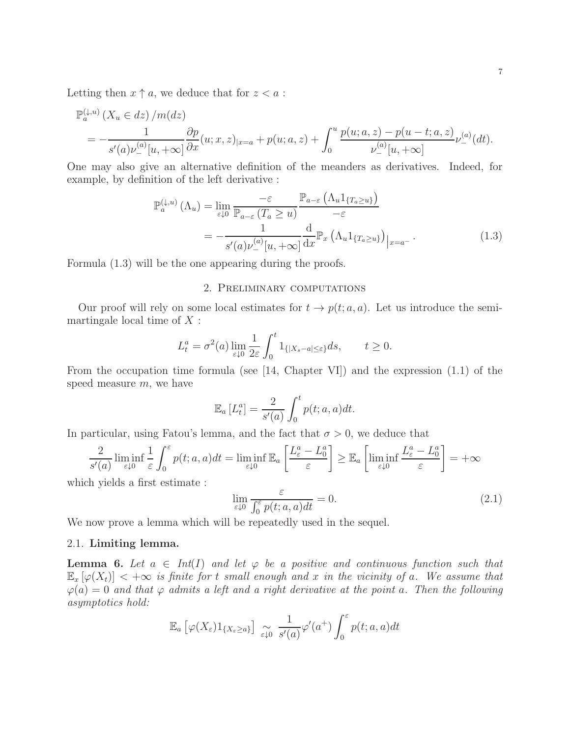Letting then  $x \uparrow a$ , we deduce that for  $z < a$ :

$$
\mathbb{P}_a^{(\downarrow, u)}(X_u \in dz) / m(dz)
$$
\n
$$
= -\frac{1}{s'(a)\nu^{(a)}_-[u, +\infty]} \frac{\partial p}{\partial x}(u; x, z)_{|x=a} + p(u; a, z) + \int_0^u \frac{p(u; a, z) - p(u - t; a, z)}{\nu^{(a)}_-[u, +\infty]} \nu^{(a)}_- (dt).
$$

One may also give an alternative definition of the meanders as derivatives. Indeed, for example, by definition of the left derivative :

$$
\mathbb{P}_{a}^{(\downarrow,u)}\left(\Lambda_{u}\right) = \lim_{\varepsilon \downarrow 0} \frac{-\varepsilon}{\mathbb{P}_{a-\varepsilon}\left(T_{a} \geq u\right)} \frac{\mathbb{P}_{a-\varepsilon}\left(\Lambda_{u}1_{\{T_{a} \geq u\}}\right)}{-\varepsilon}
$$
\n
$$
= -\frac{1}{s'(a)\nu_{-}^{(a)}[u, +\infty]} \frac{\mathrm{d}}{\mathrm{d}x} \mathbb{P}_{x}\left(\Lambda_{u}1_{\{T_{a} \geq u\}}\right)_{|x=a^{-}}.\tag{1.3}
$$

Formula (1.3) will be the one appearing during the proofs.

## 2. Preliminary computations

Our proof will rely on some local estimates for  $t \to p(t; a, a)$ . Let us introduce the semimartingale local time of  $X$ :

$$
L_t^a = \sigma^2(a) \lim_{\varepsilon \downarrow 0} \frac{1}{2\varepsilon} \int_0^t 1_{\{|X_s - a| \le \varepsilon\}} ds, \qquad t \ge 0.
$$

From the occupation time formula (see [14, Chapter VI]) and the expression (1.1) of the speed measure  $m$ , we have

$$
\mathbb{E}_a [L_t^a] = \frac{2}{s'(a)} \int_0^t p(t; a, a) dt.
$$

In particular, using Fatou's lemma, and the fact that  $\sigma > 0$ , we deduce that

$$
\frac{2}{s'(a)} \liminf_{\varepsilon \downarrow 0} \frac{1}{\varepsilon} \int_0^{\varepsilon} p(t; a, a) dt = \liminf_{\varepsilon \downarrow 0} \mathbb{E}_a \left[ \frac{L_{\varepsilon}^a - L_0^a}{\varepsilon} \right] \ge \mathbb{E}_a \left[ \liminf_{\varepsilon \downarrow 0} \frac{L_{\varepsilon}^a - L_0^a}{\varepsilon} \right] = +\infty
$$

which yields a first estimate :

$$
\lim_{\varepsilon \downarrow 0} \frac{\varepsilon}{\int_0^{\varepsilon} p(t; a, a) dt} = 0.
$$
\n(2.1)

We now prove a lemma which will be repeatedly used in the sequel.

## 2.1. Limiting lemma.

**Lemma 6.** Let  $a \in Int(I)$  and let  $\varphi$  be a positive and continuous function such that  $\mathbb{E}_{x}[\varphi(X_t)] < +\infty$  *is finite for t small enough and* x *in the vicinity of a. We assume that*  $\varphi(a) = 0$  and that  $\varphi$  admits a left and a right derivative at the point a. Then the following *asymptotics hold:*

$$
\mathbb{E}_a \left[ \varphi(X_\varepsilon) 1_{\{X_\varepsilon \ge a\}} \right] \underset{\varepsilon \downarrow 0}{\sim} \frac{1}{s'(a)} \varphi'(a^+) \int_0^\varepsilon p(t; a, a) dt
$$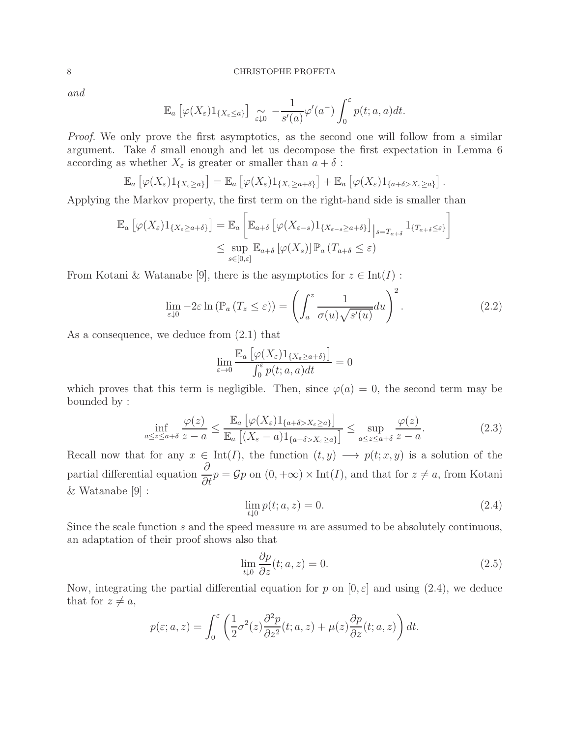*and*

$$
\mathbb{E}_a \left[ \varphi(X_\varepsilon) 1_{\{X_\varepsilon \leq a\}} \right] \underset{\varepsilon \downarrow 0}{\sim} -\frac{1}{s'(a)} \varphi'(a^-) \int_0^\varepsilon p(t; a, a) dt.
$$

*Proof.* We only prove the first asymptotics, as the second one will follow from a similar argument. Take  $\delta$  small enough and let us decompose the first expectation in Lemma 6 according as whether  $X_{\varepsilon}$  is greater or smaller than  $a + \delta$ :

$$
\mathbb{E}_a\left[\varphi(X_{\varepsilon})1_{\{X_{\varepsilon}\geq a\}}\right]=\mathbb{E}_a\left[\varphi(X_{\varepsilon})1_{\{X_{\varepsilon}\geq a+\delta\}}\right]+\mathbb{E}_a\left[\varphi(X_{\varepsilon})1_{\{a+\delta>X_{\varepsilon}\geq a\}}\right].
$$

Applying the Markov property, the first term on the right-hand side is smaller than

$$
\mathbb{E}_a \left[ \varphi(X_{\varepsilon}) 1_{\{X_{\varepsilon} \ge a+\delta\}} \right] = \mathbb{E}_a \left[ \mathbb{E}_{a+\delta} \left[ \varphi(X_{\varepsilon-s}) 1_{\{X_{\varepsilon-s} \ge a+\delta\}} \right] \Big|_{s=T_{a+\delta}} 1_{\{T_{a+\delta} \le \varepsilon\}} \right]
$$
  

$$
\le \sup_{s \in [0,\varepsilon]} \mathbb{E}_{a+\delta} \left[ \varphi(X_s) \right] \mathbb{P}_a \left( T_{a+\delta} \le \varepsilon \right)
$$

From Kotani & Watanabe [9], there is the asymptotics for  $z \in \text{Int}(I)$ :

$$
\lim_{\varepsilon \downarrow 0} -2\varepsilon \ln \left( \mathbb{P}_a \left( T_z \le \varepsilon \right) \right) = \left( \int_a^z \frac{1}{\sigma(u)\sqrt{s'(u)}} du \right)^2.
$$
 (2.2)

As a consequence, we deduce from  $(2.1)$  that

$$
\lim_{\varepsilon \to 0} \frac{\mathbb{E}_a \left[ \varphi(X_\varepsilon) 1_{\{X_\varepsilon \ge a + \delta\}} \right]}{\int_0^\varepsilon p(t; a, a) dt} = 0
$$

which proves that this term is negligible. Then, since  $\varphi(a) = 0$ , the second term may be bounded by :

$$
\inf_{a \le z \le a+\delta} \frac{\varphi(z)}{z-a} \le \frac{\mathbb{E}_a \left[ \varphi(X_\varepsilon) 1_{\{a+\delta > X_\varepsilon \ge a\}} \right]}{\mathbb{E}_a \left[ (X_\varepsilon - a) 1_{\{a+\delta > X_\varepsilon \ge a\}} \right]} \le \sup_{a \le z \le a+\delta} \frac{\varphi(z)}{z-a}.\tag{2.3}
$$

Recall now that for any  $x \in Int(I)$ , the function  $(t, y) \longrightarrow p(t; x, y)$  is a solution of the partial differential equation  $\frac{\partial}{\partial \theta}$  $\frac{\partial}{\partial t}p = \mathcal{G}p$  on  $(0, +\infty) \times \text{Int}(I)$ , and that for  $z \neq a$ , from Kotani & Watanabe [9] :

$$
\lim_{t \downarrow 0} p(t; a, z) = 0. \tag{2.4}
$$

Since the scale function  $s$  and the speed measure  $m$  are assumed to be absolutely continuous, an adaptation of their proof shows also that

$$
\lim_{t \downarrow 0} \frac{\partial p}{\partial z}(t; a, z) = 0. \tag{2.5}
$$

Now, integrating the partial differential equation for p on  $[0, \varepsilon]$  and using (2.4), we deduce that for  $z \neq a$ ,

$$
p(\varepsilon; a, z) = \int_0^{\varepsilon} \left( \frac{1}{2} \sigma^2(z) \frac{\partial^2 p}{\partial z^2}(t; a, z) + \mu(z) \frac{\partial p}{\partial z}(t; a, z) \right) dt.
$$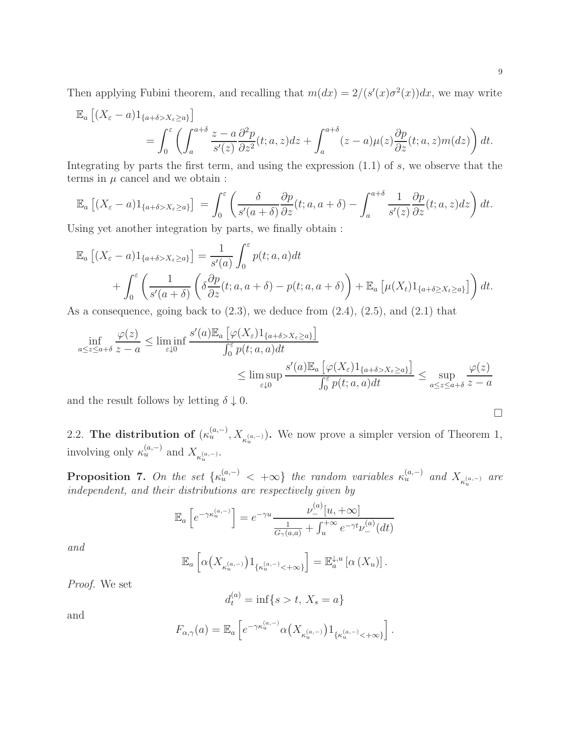Then applying Fubini theorem, and recalling that  $m(dx) = 2/(s'(x)\sigma^2(x))dx$ , we may write

$$
\mathbb{E}_a \left[ (X_{\varepsilon} - a) 1_{\{a + \delta > X_{\varepsilon} \ge a\}} \right]
$$
  
= 
$$
\int_0^{\varepsilon} \left( \int_a^{a + \delta} \frac{z - a}{s'(z)} \frac{\partial^2 p}{\partial z^2} (t; a, z) dz + \int_a^{a + \delta} (z - a) \mu(z) \frac{\partial p}{\partial z} (t; a, z) m(dz) \right) dt.
$$

Integrating by parts the first term, and using the expression  $(1.1)$  of s, we observe that the terms in  $\mu$  cancel and we obtain :

$$
\mathbb{E}_a \left[ (X_{\varepsilon} - a) 1_{\{a + \delta > X_{\varepsilon} \ge a\}} \right] = \int_0^{\varepsilon} \left( \frac{\delta}{s'(a + \delta)} \frac{\partial p}{\partial z}(t; a, a + \delta) - \int_a^{a + \delta} \frac{1}{s'(z)} \frac{\partial p}{\partial z}(t; a, z) dz \right) dt.
$$

Using yet another integration by parts, we finally obtain :

$$
\mathbb{E}_a \left[ (X_{\varepsilon} - a) 1_{\{a + \delta > X_{\varepsilon} \ge a\}} \right] = \frac{1}{s'(a)} \int_0^{\varepsilon} p(t; a, a) dt + \int_0^{\varepsilon} \left( \frac{1}{s'(a + \delta)} \left( \delta \frac{\partial p}{\partial z}(t; a, a + \delta) - p(t; a, a + \delta) \right) + \mathbb{E}_a \left[ \mu(X_t) 1_{\{a + \delta \ge X_t \ge a\}} \right] \right) dt.
$$

As a consequence, going back to  $(2.3)$ , we deduce from  $(2.4)$ ,  $(2.5)$ , and  $(2.1)$  that

$$
\inf_{a \le z \le a+\delta} \frac{\varphi(z)}{z-a} \le \liminf_{\varepsilon \downarrow 0} \frac{s'(a) \mathbb{E}_a \left[ \varphi(X_{\varepsilon}) 1_{\{a+\delta > X_{\varepsilon} \ge a\}} \right]}{\int_0^{\varepsilon} p(t; a, a) dt} \le \limsup_{\varepsilon \downarrow 0} \frac{s'(a) \mathbb{E}_a \left[ \varphi(X_{\varepsilon}) 1_{\{a+\delta > X_{\varepsilon} \ge a\}} \right]}{\int_0^{\varepsilon} p(t; a, a) dt} \le \sup_{a \le z \le a+\delta} \frac{\varphi(z)}{z-a}
$$

and the result follows by letting  $\delta \downarrow 0$ .

2.2. The distribution of  $(\kappa_u^{(a,-)}, X_{\kappa_u^{(a,-)}})$ . We now prove a simpler version of Theorem 1, involving only  $\kappa_u^{(a,-)}$  and  $X_{\kappa_u^{(a,-)}}$ .

**Proposition 7.** On the set  $\{\kappa_u^{(a,-)} \prec +\infty\}$  the random variables  $\kappa_u^{(a,-)}$  and  $X_{\kappa_u^{(a,-)}}$  are *independent, and their distributions are respectively given by*

$$
\mathbb{E}_a\left[e^{-\gamma \kappa_u^{(a,-)}}\right] = e^{-\gamma u} \frac{\nu_-^{(a)}[u,+\infty]}{\frac{1}{G_\gamma(a,a)} + \int_u^{+\infty} e^{-\gamma t} \nu_-^{(a)}(dt)}
$$

*and*

$$
\mathbb{E}_a\left[\alpha\big(X_{\kappa_u^{(a,-)}}\big)1_{\{\kappa_u^{(a,-)}<+\infty\}}\right]=\mathbb{E}_a^{\downarrow,u}\left[\alpha\left(X_u\right)\right].
$$

*Proof.* We set

$$
d_t^{(a)} = \inf\{s > t, \, X_s = a\}
$$

and

$$
F_{\alpha,\gamma}(a)=\mathbb{E}_a\left[e^{-\gamma \kappa_u^{(a,-)}}\alpha\big(X_{\kappa_u^{(a,-)}}\big)1_{\{\kappa_u^{(a,-)}<+\infty\}}\right].
$$

$$
\Box
$$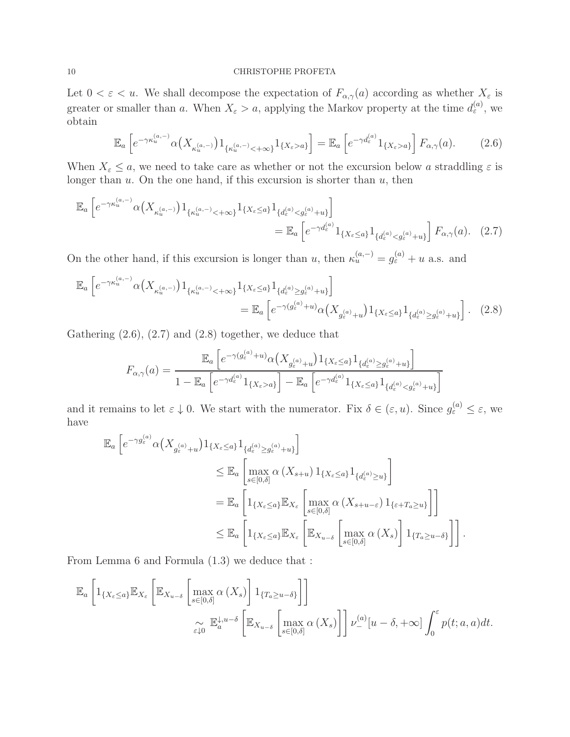Let  $0 < \varepsilon < u$ . We shall decompose the expectation of  $F_{\alpha,\gamma}(a)$  according as whether  $X_{\varepsilon}$  is greater or smaller than a. When  $X_{\varepsilon} > a$ , applying the Markov property at the time  $d_{\varepsilon}^{(a)}$ , we obtain

$$
\mathbb{E}_a \left[ e^{-\gamma \kappa_u^{(a,-)}} \alpha \left( X_{\kappa_u^{(a,-)}} \right) 1_{\{\kappa_u^{(a,-)} < +\infty\}} 1_{\{X_\varepsilon > a\}} \right] = \mathbb{E}_a \left[ e^{-\gamma d_\varepsilon^{(a)}} 1_{\{X_\varepsilon > a\}} \right] F_{\alpha,\gamma}(a). \tag{2.6}
$$

When  $X_{\varepsilon} \leq a$ , we need to take care as whether or not the excursion below a straddling  $\varepsilon$  is longer than  $u$ . On the one hand, if this excursion is shorter than  $u$ , then

$$
\mathbb{E}_{a} \left[ e^{-\gamma \kappa_{u}^{(a,-)}} \alpha \left( X_{\kappa_{u}^{(a,-)}} \right) 1_{\{\kappa_{u}^{(a,-)} < +\infty\}} 1_{\{X_{\varepsilon} \le a\}} 1_{\{d_{\varepsilon}^{(a)} < g_{\varepsilon}^{(a)} + u\}} \right]
$$
\n
$$
= \mathbb{E}_{a} \left[ e^{-\gamma d_{\varepsilon}^{(a)}} 1_{\{X_{\varepsilon} \le a\}} 1_{\{d_{\varepsilon}^{(a)} < g_{\varepsilon}^{(a)} + u\}} \right] F_{\alpha,\gamma}(a). \quad (2.7)
$$

On the other hand, if this excursion is longer than u, then  $\kappa_u^{(a,-)} = g_\varepsilon^{(a)} + u$  a.s. and

$$
\mathbb{E}_{a} \left[ e^{-\gamma \kappa_{u}^{(a,-)}} \alpha \left( X_{\kappa_{u}^{(a,-)}} \right) 1_{\{\kappa_{u}^{(a,-)} < +\infty\}} 1_{\{X_{\varepsilon} \leq a\}} 1_{\{d_{\varepsilon}^{(a)} \geq g_{\varepsilon}^{(a)} + u\}} \right]
$$
\n
$$
= \mathbb{E}_{a} \left[ e^{-\gamma \left(g_{\varepsilon}^{(a)} + u\right)} \alpha \left( X_{g_{\varepsilon}^{(a)} + u} \right) 1_{\{X_{\varepsilon} \leq a\}} 1_{\{d_{\varepsilon}^{(a)} \geq g_{\varepsilon}^{(a)} + u\}} \right]. \tag{2.8}
$$

Gathering  $(2.6)$ ,  $(2.7)$  and  $(2.8)$  together, we deduce that

$$
F_{\alpha,\gamma}(a) = \frac{\mathbb{E}_a \left[ e^{-\gamma(g_\varepsilon^{(a)} + u)} \alpha \left( X_{g_\varepsilon^{(a)} + u} \right) 1_{\{X_\varepsilon \le a\}} 1_{\{d_\varepsilon^{(a)} \ge g_\varepsilon^{(a)} + u\}} \right]}{1 - \mathbb{E}_a \left[ e^{-\gamma d_\varepsilon^{(a)}} 1_{\{X_\varepsilon > a\}} \right] - \mathbb{E}_a \left[ e^{-\gamma d_\varepsilon^{(a)}} 1_{\{X_\varepsilon \le a\}} 1_{\{d_\varepsilon^{(a)} < g_\varepsilon^{(a)} + u\}} \right]}
$$

and it remains to let  $\varepsilon \downarrow 0$ . We start with the numerator. Fix  $\delta \in (\varepsilon, u)$ . Since  $g_{\varepsilon}^{(a)} \leq \varepsilon$ , we have

$$
\mathbb{E}_{a} \left[ e^{-\gamma g_{\varepsilon}^{(a)}} \alpha \left( X_{g_{\varepsilon}^{(a)}+u} \right) 1_{\{X_{\varepsilon} \leq a\}} 1_{\{d_{\varepsilon}^{(a)} \geq g_{\varepsilon}^{(a)}+u\}} \right] \leq \mathbb{E}_{a} \left[ \max_{s \in [0,\delta]} \alpha \left( X_{s+u} \right) 1_{\{X_{\varepsilon} \leq a\}} 1_{\{d_{\varepsilon}^{(a)} \geq u\}} \right] \n= \mathbb{E}_{a} \left[ 1_{\{X_{\varepsilon} \leq a\}} \mathbb{E}_{X_{\varepsilon}} \left[ \max_{s \in [0,\delta]} \alpha \left( X_{s+u-\varepsilon} \right) 1_{\{\varepsilon + T_a \geq u\}} \right] \right] \n\leq \mathbb{E}_{a} \left[ 1_{\{X_{\varepsilon} \leq a\}} \mathbb{E}_{X_{\varepsilon}} \left[ \mathbb{E}_{X_{u-\delta}} \left[ \max_{s \in [0,\delta]} \alpha \left( X_s \right) \right] 1_{\{T_a \geq u-\delta\}} \right] \right].
$$

From Lemma 6 and Formula (1.3) we deduce that :

$$
\mathbb{E}_{a}\left[\mathbb{1}_{\{X_{\varepsilon}\leq a\}}\mathbb{E}_{X_{\varepsilon}}\left[\mathbb{E}_{X_{u-\delta}}\left[\max_{s\in[0,\delta]} \alpha\left(X_{s}\right)\right]\mathbb{1}_{\{T_{a}\geq u-\delta\}}\right]\right]
$$
\n
$$
\underset{\varepsilon\downarrow 0}{\sim} \mathbb{E}_{a}^{\downarrow,u-\delta}\left[\mathbb{E}_{X_{u-\delta}}\left[\max_{s\in[0,\delta]} \alpha\left(X_{s}\right)\right]\right]\nu_{-}^{(a)}[u-\delta,+\infty]\int_{0}^{\varepsilon}p(t; a, a)dt.
$$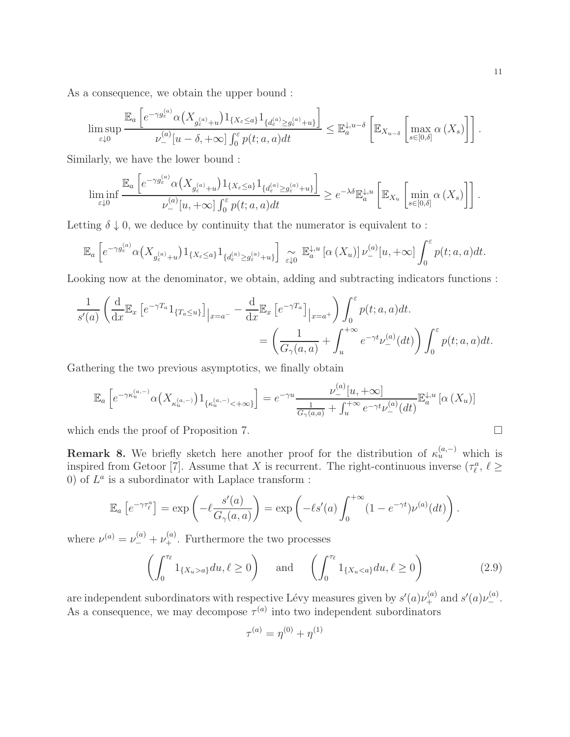As a consequence, we obtain the upper bound :

$$
\limsup_{\varepsilon \downarrow 0} \frac{\mathbb{E}_a \left[ e^{-\gamma g^{(a)}_{\varepsilon}} \alpha \left( X_{g^{(a)}_{\varepsilon} + u} \right) \mathbb{1}_{\{X_{\varepsilon} \leq a\}} \mathbb{1}_{\{d^{(a)}_{\varepsilon} \geq g^{(a)}_{\varepsilon} + u\}} \right]}{\nu^{(a)}_-[u - \delta, +\infty] \int_0^{\varepsilon} p(t; a, a) dt} \leq \mathbb{E}_a^{\downarrow, u - \delta} \left[ \mathbb{E}_{X_{u - \delta}} \left[ \max_{s \in [0, \delta]} \alpha \left( X_s \right) \right] \right].
$$

Similarly, we have the lower bound :

$$
\liminf_{\varepsilon \downarrow 0} \frac{\mathbb{E}_a \left[ e^{-\gamma g^{(a)}_{\varepsilon}} \alpha \left( X_{g^{(a)}_{\varepsilon} + u} \right) \mathbb{1}_{\{X_{\varepsilon} \leq a\}} \mathbb{1}_{\{d^{(a)}_{\varepsilon} \geq g^{(a)}_{\varepsilon} + u\}} \right]}{\nu^{(a)}_{-}[u, +\infty] \int_0^{\varepsilon} p(t; a, a) dt} \geq e^{-\lambda \delta} \mathbb{E}_a^{\downarrow, u} \left[ \mathbb{E}_{X_u} \left[ \min_{s \in [0, \delta]} \alpha \left( X_s \right) \right] \right].
$$

Letting  $\delta \downarrow 0$ , we deduce by continuity that the numerator is equivalent to:

$$
\mathbb{E}_a\left[e^{-\gamma g^{(a)}_{\varepsilon}}\alpha\left(X_{g^{(a)}_{\varepsilon}+u}\right)1_{\{X_{\varepsilon}\leq a\}}1_{\{d^{(a)}_{\varepsilon}\geq g^{(a)}_{\varepsilon}+u\}}\right] \underset{\varepsilon\downarrow 0}{\sim} \mathbb{E}_a^{\downarrow,u}\left[\alpha\left(X_u\right)\right]\nu^{(a)}_{-}\left[u,+\infty\right] \int_0^{\varepsilon} p(t; a, a)dt.
$$

Looking now at the denominator, we obtain, adding and subtracting indicators functions :

$$
\frac{1}{s'(a)} \left( \frac{d}{dx} \mathbb{E}_x \left[ e^{-\gamma T_a} 1_{\{T_a \le u\}} \right]_{|x=a^-} - \frac{d}{dx} \mathbb{E}_x \left[ e^{-\gamma T_a} \right]_{|x=a^+} \right) \int_0^{\varepsilon} p(t; a, a) dt.
$$

$$
= \left( \frac{1}{G_\gamma(a, a)} + \int_u^{+\infty} e^{-\gamma t} \nu_-^{(a)}(dt) \right) \int_0^{\varepsilon} p(t; a, a) dt.
$$

Gathering the two previous asymptotics, we finally obtain

$$
\mathbb{E}_a\left[e^{-\gamma \kappa_u^{(a,-)}}\alpha \left(X_{\kappa_u^{(a,-)}}\right)1_{\{\kappa_u^{(a,-)}<+\infty\}}\right] = e^{-\gamma u}\frac{\nu_-^{(a)}[u,+\infty]}{\frac{1}{G_\gamma(a,a)} + \int_u^{+\infty} e^{-\gamma t}\nu_-^{(a)}(dt)}\mathbb{E}_a^{\downarrow,u}\left[\alpha\left(X_u\right)\right]
$$

which ends the proof of Proposition 7.

**Remark 8.** We briefly sketch here another proof for the distribution of  $\kappa_u^{(a,-)}$  which is inspired from Getoor [7]. Assume that X is recurrent. The right-continuous inverse  $(\tau_{\ell}^a, \ell \geq \epsilon)$ 0) of  $L^a$  is a subordinator with Laplace transform :

$$
\mathbb{E}_a\left[e^{-\gamma\tau_\ell^a}\right] = \exp\left(-\ell \frac{s'(a)}{G_\gamma(a,a)}\right) = \exp\left(-\ell s'(a)\int_0^{+\infty} (1-e^{-\gamma t})\nu^{(a)}(dt)\right).
$$

where  $\nu^{(a)} = \nu^{(a)}_- + \nu^{(a)}_+$ . Furthermore the two processes

$$
\left(\int_0^{\tau_\ell} 1_{\{X_u > a\}} du, \ell \ge 0\right) \quad \text{and} \quad \left(\int_0^{\tau_\ell} 1_{\{X_u < a\}} du, \ell \ge 0\right) \tag{2.9}
$$

are independent subordinators with respective Lévy measures given by  $s'(a)\nu_+^{(a)}$  and  $s'(a)\nu_-^{(a)}$ . As a consequence, we may decompose  $\tau^{(a)}$  into two independent subordinators

$$
\tau^{(a)} = \eta^{(0)} + \eta^{(1)}
$$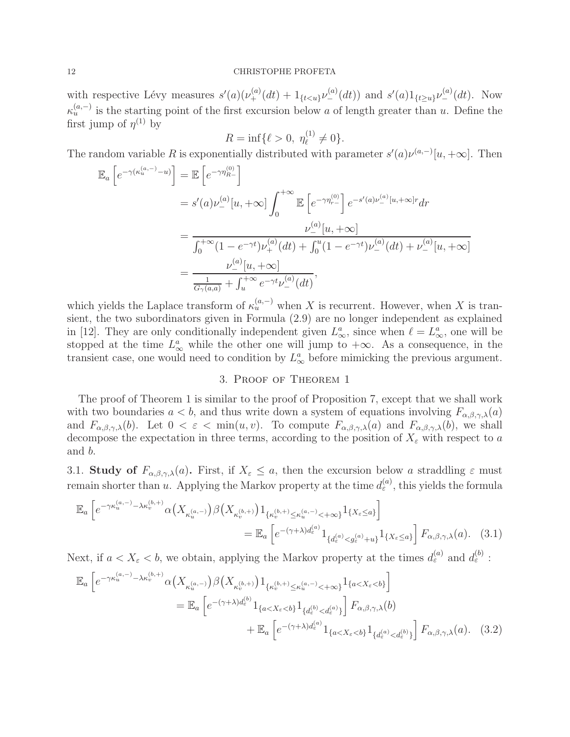with respective Lévy measures  $s'(a)(\nu_+^{(a)}(dt) + 1_{\{t \leq u\}}\nu_-^{(a)}(dt))$  and  $s'(a)1_{\{t \geq u\}}\nu_-^{(a)}(dt)$ . Now  $\kappa_u^{(a,-)}$  is the starting point of the first excursion below a of length greater than u. Define the first jump of  $\eta^{(1)}$  by

$$
R = \inf \{ \ell > 0, \ \eta_{\ell}^{(1)} \neq 0 \}.
$$

The random variable R is exponentially distributed with parameter  $s'(a)\nu^{(a,-)}[u,+\infty]$ . Then

$$
\mathbb{E}_{a}\left[e^{-\gamma(\kappa_{u}^{(a,-)}-u)}\right] = \mathbb{E}\left[e^{-\gamma\eta_{R-}^{(0)}}\right]
$$
\n
$$
= s'(a)\nu_{-}^{(a)}[u,+\infty] \int_{0}^{+\infty} \mathbb{E}\left[e^{-\gamma\eta_{r-}^{(0)}}\right] e^{-s'(a)\nu_{-}^{(a)}[u,+\infty]r} dr
$$
\n
$$
= \frac{\nu_{-}^{(a)}[u,+\infty]}{\int_{0}^{+\infty} (1-e^{-\gamma t})\nu_{+}^{(a)}(dt) + \int_{0}^{u} (1-e^{-\gamma t})\nu_{-}^{(a)}(dt) + \nu_{-}^{(a)}[u,+\infty]}
$$
\n
$$
= \frac{\nu_{-}^{(a)}[u,+\infty]}{\frac{1}{G_{\gamma}(a,a)} + \int_{u}^{+\infty} e^{-\gamma t}\nu_{-}^{(a)}(dt)},
$$

which yields the Laplace transform of  $\kappa_u^{(a,-)}$  when X is recurrent. However, when X is transient, the two subordinators given in Formula (2.9) are no longer independent as explained in [12]. They are only conditionally independent given  $L^a_{\infty}$ , since when  $\ell = L^a_{\infty}$ , one will be stopped at the time  $L^a_{\infty}$  while the other one will jump to  $+\infty$ . As a consequence, in the transient case, one would need to condition by  $L^a_{\infty}$  before mimicking the previous argument.

## 3. Proof of Theorem 1

The proof of Theorem 1 is similar to the proof of Proposition 7, except that we shall work with two boundaries  $a < b$ , and thus write down a system of equations involving  $F_{\alpha,\beta,\gamma,\lambda}(a)$ and  $F_{\alpha,\beta,\gamma,\lambda}(b)$ . Let  $0 < \varepsilon < \min(u,v)$ . To compute  $F_{\alpha,\beta,\gamma,\lambda}(a)$  and  $F_{\alpha,\beta,\gamma,\lambda}(b)$ , we shall decompose the expectation in three terms, according to the position of  $X_{\varepsilon}$  with respect to a and b.

3.1. Study of  $F_{\alpha,\beta,\gamma,\lambda}(a)$ . First, if  $X_{\varepsilon} \leq a$ , then the excursion below a straddling  $\varepsilon$  must remain shorter than u. Applying the Markov property at the time  $d_{\varepsilon}^{(a)}$ , this yields the formula

$$
\mathbb{E}_{a}\left[e^{-\gamma\kappa_{u}^{(a,-)}-\lambda\kappa_{v}^{(b,+)}}\alpha\left(X_{\kappa_{u}^{(a,-)}}\right)\beta\left(X_{\kappa_{v}^{(b,+)}}\right)\mathbf{1}_{\{\kappa_{v}^{(b,+)}\leq\kappa_{u}^{(a,-)}<+\infty\}}\mathbf{1}_{\{X_{\varepsilon}\leq a\}}\right]
$$
\n
$$
=\mathbb{E}_{a}\left[e^{-(\gamma+\lambda)d_{\varepsilon}^{(a)}}\mathbf{1}_{\{d_{\varepsilon}^{(a)}< g_{\varepsilon}^{(a)}+u\}}\mathbf{1}_{\{X_{\varepsilon}\leq a\}}\right]F_{\alpha,\beta,\gamma,\lambda}(a). \quad (3.1)
$$

Next, if  $a < X_{\varepsilon} < b$ , we obtain, applying the Markov property at the times  $d_{\varepsilon}^{(a)}$  and  $d_{\varepsilon}^{(b)}$ :

$$
\mathbb{E}_{a} \left[ e^{-\gamma \kappa_{u}^{(a,-)} - \lambda \kappa_{v}^{(b,+)}} \alpha \left( X_{\kappa_{u}^{(a,-)}} \right) \beta \left( X_{\kappa_{v}^{(b,+)}} \right) 1_{\{\kappa_{v}^{(b,+)} \leq \kappa_{u}^{(a,-)} < +\infty\}} 1_{\{a < X_{\varepsilon} < b\}} \right]
$$
\n
$$
= \mathbb{E}_{a} \left[ e^{-(\gamma + \lambda) d_{\varepsilon}^{(b)}} 1_{\{a < X_{\varepsilon} < b\}} 1_{\{d_{\varepsilon}^{(b)} < d_{\varepsilon}^{(a)}\}} \right] F_{\alpha,\beta,\gamma,\lambda}(b)
$$
\n
$$
+ \mathbb{E}_{a} \left[ e^{-(\gamma + \lambda) d_{\varepsilon}^{(a)}} 1_{\{a < X_{\varepsilon} < b\}} 1_{\{d_{\varepsilon}^{(a)} < d_{\varepsilon}^{(b)}\}} \right] F_{\alpha,\beta,\gamma,\lambda}(a). \quad (3.2)
$$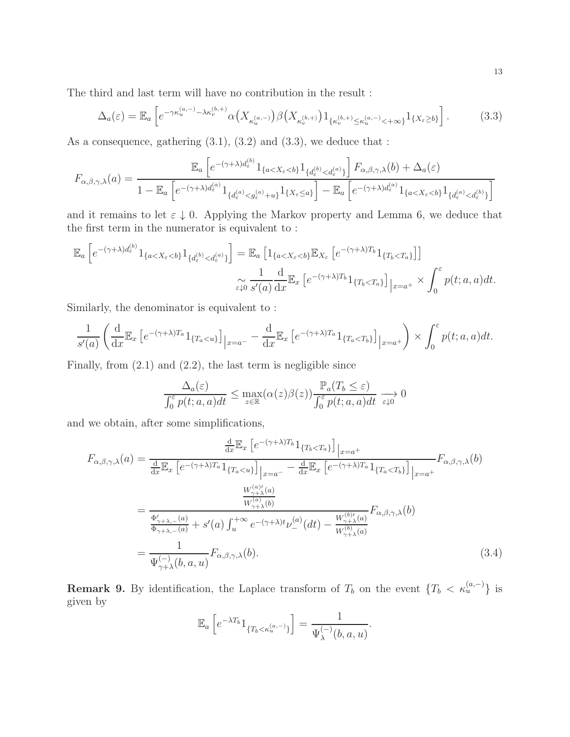The third and last term will have no contribution in the result :

$$
\Delta_a(\varepsilon) = \mathbb{E}_a \left[ e^{-\gamma \kappa_u^{(a,-)} - \lambda \kappa_v^{(b,+)}} \alpha \left( X_{\kappa_u^{(a,-)}} \right) \beta \left( X_{\kappa_v^{(b,+)}} \right) 1_{\{\kappa_v^{(b,+)} \le \kappa_u^{(a,-)} < +\infty\}} 1_{\{X_{\varepsilon} \ge b\}} \right]. \tag{3.3}
$$

As a consequence, gathering  $(3.1)$ ,  $(3.2)$  and  $(3.3)$ , we deduce that :

$$
F_{\alpha,\beta,\gamma,\lambda}(a) = \frac{\mathbb{E}_a\left[e^{-(\gamma+\lambda)d_{\varepsilon}^{(b)}}1_{\{a
$$

and it remains to let  $\varepsilon \downarrow 0$ . Applying the Markov property and Lemma 6, we deduce that the first term in the numerator is equivalent to :

$$
\mathbb{E}_{a}\left[e^{-(\gamma+\lambda)d_{\varepsilon}^{(b)}}1_{\{a
$$
\sim \frac{1}{\varepsilon\downarrow0} \frac{d}{s'(a)} \frac{d}{dx}\mathbb{E}_{x}\left[e^{-(\gamma+\lambda)T_{b}}1_{\{T_{b}
$$
$$

Similarly, the denominator is equivalent to :

$$
\frac{1}{s'(a)} \left( \frac{d}{dx} \mathbb{E}_x \left[ e^{-(\gamma + \lambda)T_a} 1_{\{T_a < u\}} \right]_{|x=a^-} - \frac{d}{dx} \mathbb{E}_x \left[ e^{-(\gamma + \lambda)T_a} 1_{\{T_a < T_b\}} \right]_{|x=a^+} \right) \times \int_0^\varepsilon p(t; a, a) dt.
$$

Finally, from (2.1) and (2.2), the last term is negligible since

$$
\frac{\Delta_a(\varepsilon)}{\int_0^{\varepsilon} p(t; a, a)dt} \le \max_{z \in \mathbb{R}} (\alpha(z)\beta(z)) \frac{\mathbb{P}_a(T_b \le \varepsilon)}{\int_0^{\varepsilon} p(t; a, a)dt} \xrightarrow[\varepsilon \downarrow 0]{} 0
$$

and we obtain, after some simplifications,

$$
F_{\alpha,\beta,\gamma,\lambda}(a) = \frac{\frac{d}{dx} \mathbb{E}_x \left[ e^{-(\gamma + \lambda)T_b} 1_{\{T_b < T_a\}} \right] |_{x=a^+}}{\frac{d}{dx} \mathbb{E}_x \left[ e^{-(\gamma + \lambda)T_a} 1_{\{T_a < u\}} \right] |_{x=a^-} - \frac{d}{dx} \mathbb{E}_x \left[ e^{-(\gamma + \lambda)T_a} 1_{\{T_a < T_b\}} \right] |_{x=a^+}} F_{\alpha,\beta,\gamma,\lambda}(b)
$$
\n
$$
= \frac{W_{\gamma+\lambda}^{(a)}}{W_{\gamma+\lambda}^{(a)}} = \frac{W_{\gamma+\lambda}^{(a)}}{\frac{\Phi_{\gamma+\lambda,-}(a)}{\Phi_{\gamma+\lambda,-}(a)} + s'(a) \int_u^{+\infty} e^{-(\gamma + \lambda)t} \nu_-^{(a)}(dt) - \frac{W_{\gamma+\lambda}^{(b)}(a)}{W_{\gamma+\lambda}^{(b)}(a)}} F_{\alpha,\beta,\gamma,\lambda}(b)
$$
\n
$$
= \frac{1}{\Psi_{\gamma+\lambda}^{(-)}(b,a,u)} F_{\alpha,\beta,\gamma,\lambda}(b). \tag{3.4}
$$

**Remark 9.** By identification, the Laplace transform of  $T_b$  on the event  $\{T_b < \kappa_u^{(a,-)}\}$  is given by

$$
\mathbb{E}_a\left[e^{-\lambda T_b}1_{\{T_b < \kappa_u^{(a,-)}\}}\right] = \frac{1}{\Psi_{\lambda}^{(-)}(b,a,u)}.
$$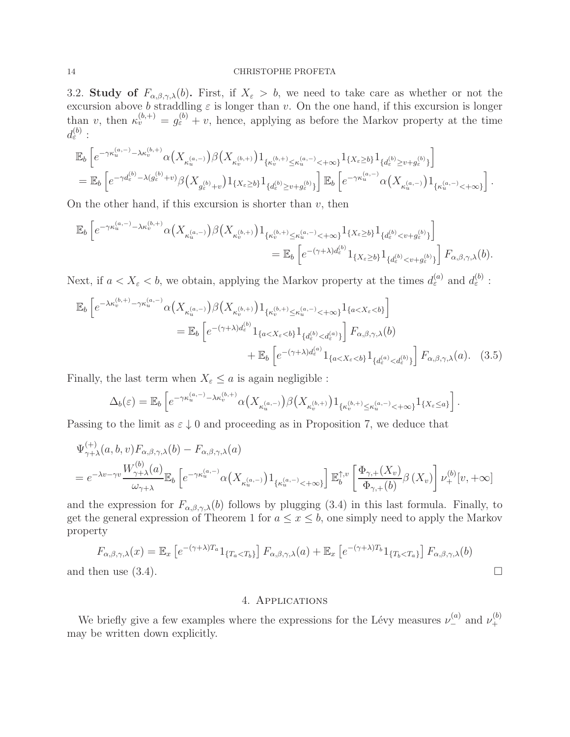3.2. Study of  $F_{\alpha,\beta,\gamma,\lambda}(b)$ . First, if  $X_{\varepsilon} > b$ , we need to take care as whether or not the excursion above b straddling  $\varepsilon$  is longer than v. On the one hand, if this excursion is longer than v, then  $\kappa_v^{(b,+)} = g_{\varepsilon}^{(b)} + v$ , hence, applying as before the Markov property at the time  $d_{\varepsilon}^{(b)}:$ 

$$
\begin{split} &\mathbb{E}_b\left[e^{-\gamma \kappa_u^{(a,-)}-\lambda \kappa_v^{(b,+)} } \alpha \big(X_{\kappa_u^{(a,-)}}\big)\beta \big(X_{\kappa_v^{(b,+)}}\big)1_{\{\kappa_v^{(b,+)} \leq \kappa_u^{(a,-)}<+\infty\}}1_{\{X_{\varepsilon}\geq b\}} 1_{\{d_{\varepsilon}^{(b)} \geq v+g_{\varepsilon}^{(b)}\}}\right]\\ &=\mathbb{E}_b\left[e^{-\gamma d_{\varepsilon}^{(b)}-\lambda(g_{\varepsilon}^{(b)}+v)} \beta \big(X_{g_{\varepsilon}^{(b)}+v}\big)1_{\{X_{\varepsilon}\geq b\}}1_{\{d_{\varepsilon}^{(b)} \geq v+g_{\varepsilon}^{(b)}\}}\right]\mathbb{E}_b\left[e^{-\gamma \kappa_u^{(a,-)}} \alpha \big(X_{\kappa_u^{(a,-)}}\big)1_{\{\kappa_u^{(a,-)}<+\infty\}}\right]. \end{split}
$$

On the other hand, if this excursion is shorter than  $v$ , then

$$
\mathbb{E}_{b}\left[e^{-\gamma \kappa_{u}^{(a,-)}-\lambda \kappa_{v}^{(b,+)}}\alpha \left(X_{\kappa_{u}^{(a,-)}}\right)\beta \left(X_{\kappa_{v}^{(b,+)}}\right)1_{\{\kappa_{v}^{(b,+)}\leq \kappa_{u}^{(a,-)}<+\infty\}}1_{\{X_{\varepsilon}\geq b\}}1_{\{d_{\varepsilon}^{(b)}\n
$$
=\mathbb{E}_{b}\left[e^{-(\gamma+\lambda) d_{\varepsilon}^{(b)}}1_{\{X_{\varepsilon}\geq b\}}1_{\{d_{\varepsilon}^{(b)}
$$
$$

Next, if  $a < X_{\varepsilon} < b$ , we obtain, applying the Markov property at the times  $d_{\varepsilon}^{(a)}$  and  $d_{\varepsilon}^{(b)}$ :

$$
\mathbb{E}_{b}\left[e^{-\lambda\kappa_{v}^{(b,+)}-\gamma\kappa_{u}^{(a,-)}}\alpha\left(X_{\kappa_{u}^{(a,-)}}\right)\beta\left(X_{\kappa_{v}^{(b,+)}}\right)\mathbf{1}_{\{\kappa_{v}^{(b,+)}\leq\kappa_{u}^{(a,-)}<+\infty\}}\mathbf{1}_{\{a\n
$$
=\mathbb{E}_{b}\left[e^{-(\gamma+\lambda)d_{\varepsilon}^{(b)}}\mathbf{1}_{\{a\n(3.5)
$$
$$

Finally, the last term when  $X_{\varepsilon} \leq a$  is again negligible :

$$
\Delta_b(\varepsilon) = \mathbb{E}_b \left[ e^{-\gamma \kappa_u^{(a,-)} - \lambda \kappa_v^{(b,+)} } \alpha \left( X_{\kappa_u^{(a,-)}} \right) \beta \left( X_{\kappa_v^{(b,+)}} \right) 1_{\{\kappa_v^{(b,+)} \leq \kappa_u^{(a,-)} < +\infty\}} 1_{\{X_{\varepsilon} \leq a\}} \right].
$$

Passing to the limit as  $\varepsilon \downarrow 0$  and proceeding as in Proposition 7, we deduce that

$$
\Psi_{\gamma+\lambda}^{(+)}(a,b,v)F_{\alpha,\beta,\gamma,\lambda}(b) - F_{\alpha,\beta,\gamma,\lambda}(a)
$$
\n
$$
= e^{-\lambda v - \gamma v} \frac{W_{\gamma+\lambda}^{(b)}(a)}{\omega_{\gamma+\lambda}} \mathbb{E}_b \left[ e^{-\gamma \kappa_u^{(a,-)}} \alpha \left( X_{\kappa_u^{(a,-)}} \right) 1_{\{\kappa_u^{(a,-)} < +\infty\}} \right] \mathbb{E}_b^{\uparrow,v} \left[ \frac{\Phi_{\gamma,+}(X_v)}{\Phi_{\gamma,+}(b)} \beta \left( X_v \right) \right] \nu_+^{(b)}[v,+\infty]
$$

and the expression for  $F_{\alpha,\beta,\gamma,\lambda}(b)$  follows by plugging (3.4) in this last formula. Finally, to get the general expression of Theorem 1 for  $a \leq x \leq b$ , one simply need to apply the Markov property

$$
F_{\alpha,\beta,\gamma,\lambda}(x) = \mathbb{E}_x \left[ e^{-(\gamma + \lambda)T_a} 1_{\{T_a < T_b\}} \right] F_{\alpha,\beta,\gamma,\lambda}(a) + \mathbb{E}_x \left[ e^{-(\gamma + \lambda)T_b} 1_{\{T_b < T_a\}} \right] F_{\alpha,\beta,\gamma,\lambda}(b)
$$
\nthen use (3.4)

and then use (3.4).

## 4. Applications

We briefly give a few examples where the expressions for the Lévy measures  $\nu_-^{(a)}$  and  $\nu_+^{(b)}$ + may be written down explicitly.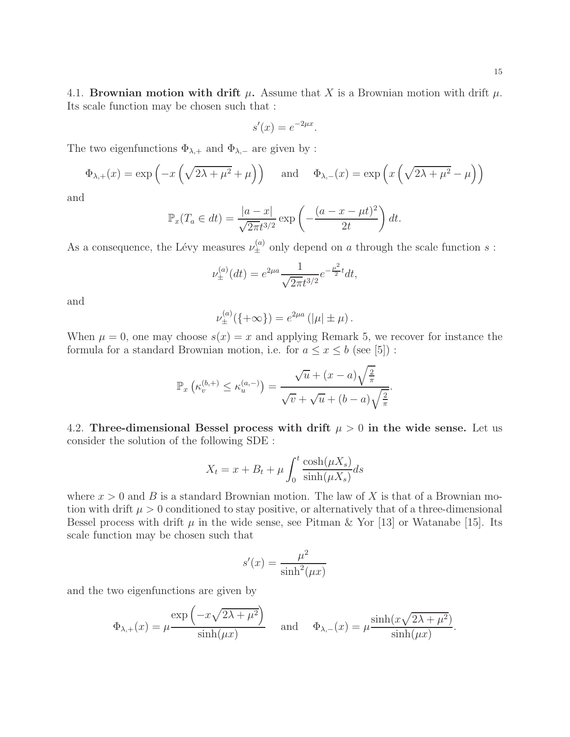4.1. Brownian motion with drift  $\mu$ . Assume that X is a Brownian motion with drift  $\mu$ . Its scale function may be chosen such that :

$$
s'(x) = e^{-2\mu x}.
$$

The two eigenfunctions  $\Phi_{\lambda,+}$  and  $\Phi_{\lambda,-}$  are given by :

$$
\Phi_{\lambda,+}(x) = \exp\left(-x\left(\sqrt{2\lambda + \mu^2} + \mu\right)\right) \quad \text{and} \quad \Phi_{\lambda,-}(x) = \exp\left(x\left(\sqrt{2\lambda + \mu^2} - \mu\right)\right)
$$

and

$$
\mathbb{P}_x(T_a \in dt) = \frac{|a-x|}{\sqrt{2\pi}t^{3/2}} \exp\left(-\frac{(a-x-\mu t)^2}{2t}\right)dt.
$$

As a consequence, the Lévy measures  $\nu_{\pm}^{(a)}$  only depend on a through the scale function s:

$$
\nu_{\pm}^{(a)}(dt) = e^{2\mu a} \frac{1}{\sqrt{2\pi}t^{3/2}} e^{-\frac{\mu^2}{2}t} dt,
$$

and

$$
\nu_{\pm}^{(a)}(\{+\infty\}) = e^{2\mu a} (\vert \mu \vert \pm \mu).
$$

When  $\mu = 0$ , one may choose  $s(x) = x$  and applying Remark 5, we recover for instance the formula for a standard Brownian motion, i.e. for  $a \leq x \leq b$  (see [5]):

$$
\mathbb{P}_x\left(\kappa_v^{(b,+)} \le \kappa_u^{(a,-)}\right) = \frac{\sqrt{u} + (x-a)\sqrt{\frac{2}{\pi}}}{\sqrt{v} + \sqrt{u} + (b-a)\sqrt{\frac{2}{\pi}}}.
$$

4.2. Three-dimensional Bessel process with drift  $\mu > 0$  in the wide sense. Let us consider the solution of the following SDE :

$$
X_t = x + B_t + \mu \int_0^t \frac{\cosh(\mu X_s)}{\sinh(\mu X_s)} ds
$$

where  $x > 0$  and B is a standard Brownian motion. The law of X is that of a Brownian motion with drift  $\mu > 0$  conditioned to stay positive, or alternatively that of a three-dimensional Bessel process with drift  $\mu$  in the wide sense, see Pitman & Yor [13] or Watanabe [15]. Its scale function may be chosen such that

$$
s'(x) = \frac{\mu^2}{\sinh^2(\mu x)}
$$

and the two eigenfunctions are given by

$$
\Phi_{\lambda,+}(x) = \mu \frac{\exp\left(-x\sqrt{2\lambda + \mu^2}\right)}{\sinh(\mu x)} \quad \text{and} \quad \Phi_{\lambda,-}(x) = \mu \frac{\sinh(x\sqrt{2\lambda + \mu^2})}{\sinh(\mu x)}.
$$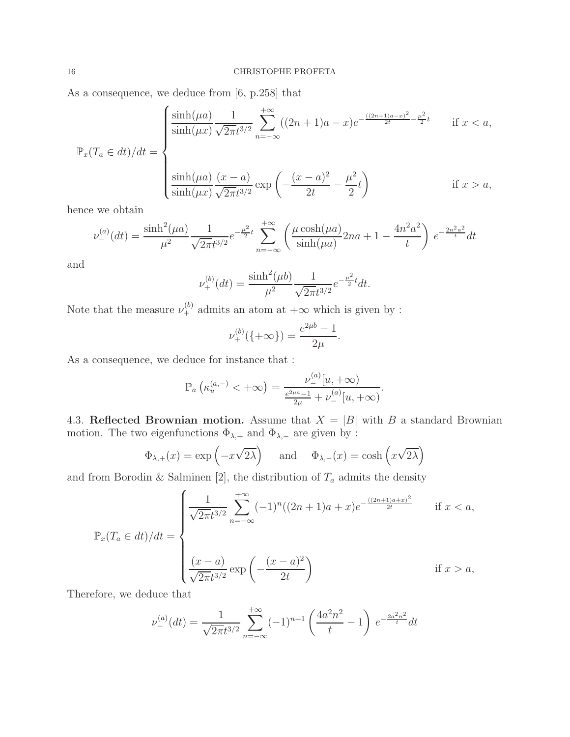As a consequence, we deduce from [6, p.258] that

$$
\mathbb{P}_x(T_a \in dt)/dt = \begin{cases} \frac{\sinh(\mu a)}{\sinh(\mu x)} \frac{1}{\sqrt{2\pi}t^{3/2}} \sum_{n=-\infty}^{+\infty} ((2n+1)a - x)e^{-\frac{((2n+1)a - x)^2}{2t} - \frac{\mu^2}{2}t} & \text{if } x < a, \\ \frac{\sinh(\mu a)}{\sinh(\mu x)} \frac{(x-a)}{\sqrt{2\pi}t^{3/2}} \exp\left(-\frac{(x-a)^2}{2t} - \frac{\mu^2}{2}t\right) & \text{if } x > a, \end{cases}
$$

hence we obtain

$$
\nu_{-}^{(a)}(dt) = \frac{\sinh^2(\mu a)}{\mu^2} \frac{1}{\sqrt{2\pi}t^{3/2}} e^{-\frac{\mu^2}{2}t} \sum_{n=-\infty}^{+\infty} \left( \frac{\mu \cosh(\mu a)}{\sinh(\mu a)} 2na + 1 - \frac{4n^2 a^2}{t} \right) e^{-\frac{2n^2 a^2}{t}} dt
$$

and

$$
\nu_{+}^{(b)}(dt) = \frac{\sinh^2(\mu b)}{\mu^2} \frac{1}{\sqrt{2\pi}t^{3/2}} e^{-\frac{\mu^2}{2}t} dt.
$$

Note that the measure  $\nu_+^{(b)}$  admits an atom at  $+\infty$  which is given by :

$$
\nu_{+}^{(b)}(\{\pm \infty\}) = \frac{e^{2\mu b} - 1}{2\mu}.
$$

As a consequence, we deduce for instance that :

$$
\mathbb{P}_a\left(\kappa_u^{(a,-)} < +\infty\right) = \frac{\nu_-^{(a)}[u,+\infty)}{\frac{e^{2\mu a}-1}{2\mu} + \nu_-^{(a)}[u,+\infty)}.
$$

4.3. Reflected Brownian motion. Assume that  $X = |B|$  with B a standard Brownian motion. The two eigenfunctions  $\Phi_{\lambda,+}$  and  $\Phi_{\lambda,-}$  are given by :

$$
\Phi_{\lambda,+}(x) = \exp\left(-x\sqrt{2\lambda}\right)
$$
 and  $\Phi_{\lambda,-}(x) = \cosh\left(x\sqrt{2\lambda}\right)$ 

and from Borodin & Salminen [2], the distribution of  $T_a$  admits the density

$$
\mathbb{P}_x(T_a \in dt)/dt = \begin{cases} \frac{1}{\sqrt{2\pi}t^{3/2}} \sum_{n=-\infty}^{+\infty} (-1)^n ((2n+1)a + x)e^{-\frac{((2n+1)a+x)^2}{2t}} & \text{if } x < a, \\ \frac{(x-a)}{\sqrt{2\pi}t^{3/2}} \exp\left(-\frac{(x-a)^2}{2t}\right) & \text{if } x > a, \end{cases}
$$

Therefore, we deduce that

$$
\nu_{-}^{(a)}(dt) = \frac{1}{\sqrt{2\pi}t^{3/2}} \sum_{n=-\infty}^{+\infty} (-1)^{n+1} \left(\frac{4a^2n^2}{t} - 1\right) e^{-\frac{2a^2n^2}{t}} dt
$$